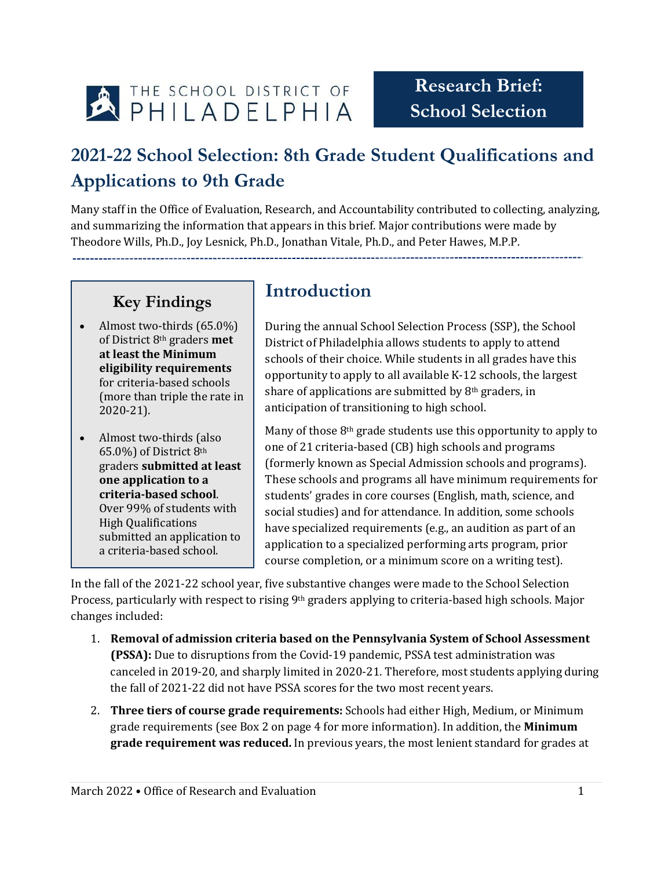

## **2021-22 School Selection: 8th Grade Student Qualifications and Applications to 9th Grade**

Many staff in the Office of Evaluation, Research, and Accountability contributed to collecting, analyzing, and summarizing the information that appears in this brief. Major contributions were made by Theodore Wills, Ph.D., Joy Lesnick, Ph.D., Jonathan Vitale, Ph.D., and Peter Hawes, M.P.P.

## **Key Findings**

- Almost two-thirds (65.0%) of District 8th graders **met at least the Minimum eligibility requirements** for criteria-based schools (more than triple the rate in 2020-21).
- Almost two-thirds (also 65.0%) of District 8th graders **submitted at least one application to a criteria-based school**. Over 99% of students with High Qualifications submitted an application to a criteria-based school.

## **Introduction**

During the annual School Selection Process (SSP), the School District of Philadelphia allows students to apply to attend schools of their choice. While students in all grades have this opportunity to apply to all available K-12 schools, the largest share of applications are submitted by 8<sup>th</sup> graders, in anticipation of transitioning to high school.

Many of those 8th grade students use this opportunity to apply to one of 21 criteria-based (CB) high schools and programs (formerly known as Special Admission schools and programs). These schools and programs all have minimum requirements for students' grades in core courses (English, math, science, and social studies) and for attendance. In addition, some schools have specialized requirements (e.g., an audition as part of an application to a specialized performing arts program, prior course completion, or a minimum score on a writing test).

In the fall of the 2021-22 school year, five substantive changes were made to the School Selection Process, particularly with respect to rising 9<sup>th</sup> graders applying to criteria-based high schools. Major changes included:

- 1. **Removal of admission criteria based on the Pennsylvania System of School Assessment (PSSA):** Due to disruptions from the Covid-19 pandemic, PSSA test administration was canceled in 2019-20, and sharply limited in 2020-21. Therefore, most students applying during the fall of 2021-22 did not have PSSA scores for the two most recent years.
- 2. **Three tiers of course grade requirements:** Schools had either High, Medium, or Minimum grade requirements (see Box 2 on page 4 for more information). In addition, the **Minimum grade requirement was reduced.** In previous years, the most lenient standard for grades at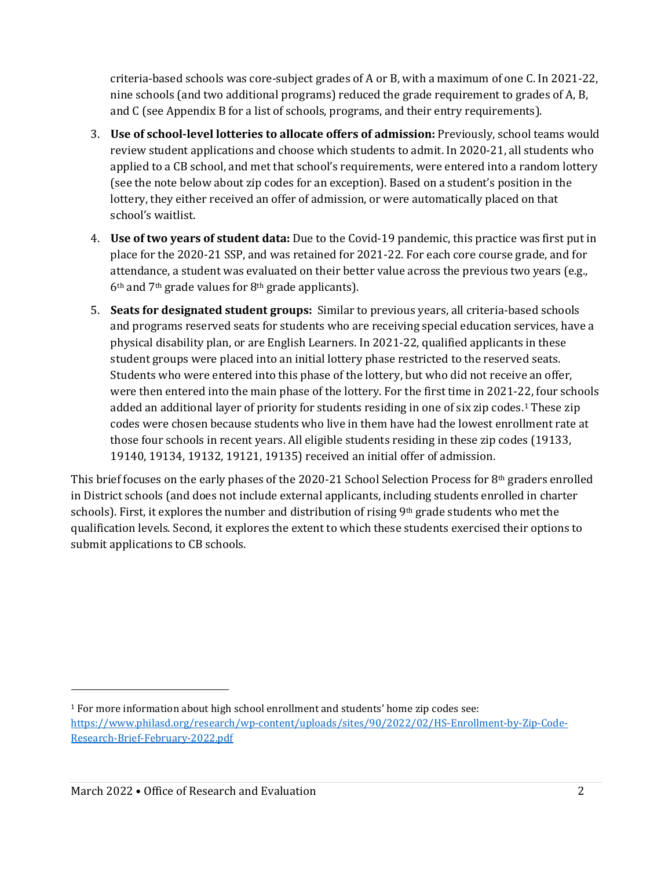criteria-based schools was core-subject grades of A or B, with a maximum of one C. In 2021-22, nine schools (and two additional programs) reduced the grade requirement to grades of A, B, and C (see Appendix B for a list of schools, programs, and their entry requirements).

- 3. **Use of school-level lotteries to allocate offers of admission:** Previously, school teams would review student applications and choose which students to admit. In 2020-21, all students who applied to a CB school, and met that school's requirements, were entered into a random lottery (see the note below about zip codes for an exception). Based on a student's position in the lottery, they either received an offer of admission, or were automatically placed on that school's waitlist.
- 4. **Use of two years of student data:** Due to the Covid-19 pandemic, this practice was first put in place for the 2020-21 SSP, and was retained for 2021-22. For each core course grade, and for attendance, a student was evaluated on their better value across the previous two years (e.g., 6th and 7th grade values for 8th grade applicants).
- 5. **Seats for designated student groups:** Similar to previous years, all criteria-based schools and programs reserved seats for students who are receiving special education services, have a physical disability plan, or are English Learners. In 2021-22, qualified applicants in these student groups were placed into an initial lottery phase restricted to the reserved seats. Students who were entered into this phase of the lottery, but who did not receive an offer, were then entered into the main phase of the lottery. For the first time in 2021-22, four schools added an additional layer of priority for students residing in one of six zip codes.[1](#page-1-0) These zip codes were chosen because students who live in them have had the lowest enrollment rate at those four schools in recent years. All eligible students residing in these zip codes (19133, 19140, 19134, 19132, 19121, 19135) received an initial offer of admission.

This brief focuses on the early phases of the 2020-21 School Selection Process for  $8<sup>th</sup>$  graders enrolled in District schools (and does not include external applicants, including students enrolled in charter schools). First, it explores the number and distribution of rising  $9<sup>th</sup>$  grade students who met the qualification levels. Second, it explores the extent to which these students exercised their options to submit applications to CB schools.

I

<span id="page-1-0"></span> $1$  For more information about high school enrollment and students' home zip codes see: [https://www.philasd.org/research/wp-content/uploads/sites/90/2022/02/HS-Enrollment-by-Zip-Code-](https://www.philasd.org/research/wp-content/uploads/sites/90/2022/02/HS-Enrollment-by-Zip-Code-Research-Brief-February-2022.pdf)[Research-Brief-February-2022.pdf](https://www.philasd.org/research/wp-content/uploads/sites/90/2022/02/HS-Enrollment-by-Zip-Code-Research-Brief-February-2022.pdf)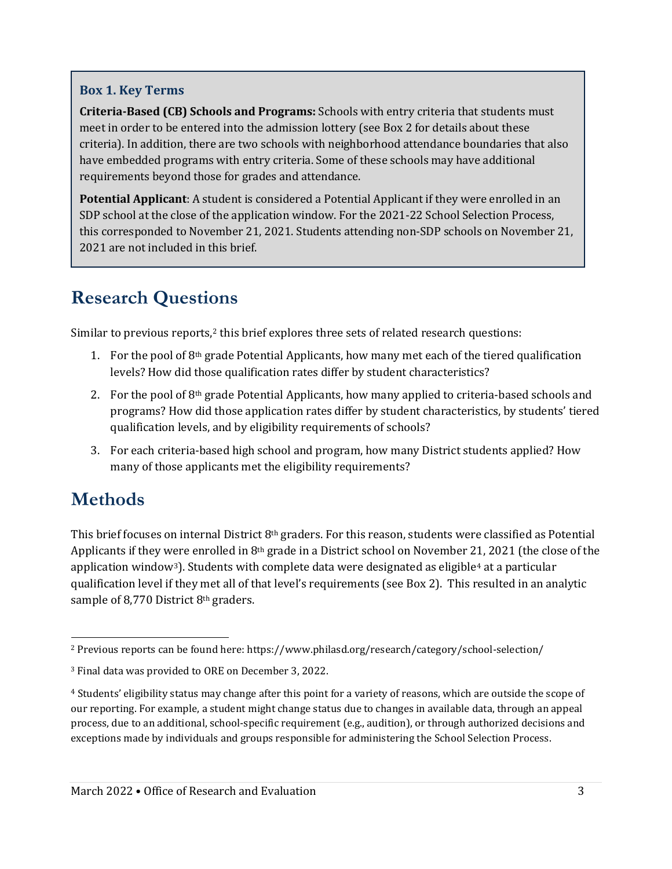#### **Box 1. Key Terms**

**Criteria-Based (CB) Schools and Programs:** Schools with entry criteria that students must meet in order to be entered into the admission lottery (see Box 2 for details about these criteria). In addition, there are two schools with neighborhood attendance boundaries that also have embedded programs with entry criteria. Some of these schools may have additional requirements beyond those for grades and attendance.

**Potential Applicant**: A student is considered a Potential Applicant if they were enrolled in an SDP school at the close of the application window. For the 2021-22 School Selection Process, this corresponded to November 21, 2021. Students attending non-SDP schools on November 21, 2021 are not included in this brief.

## **Research Questions**

Similar to previous reports,<sup>[2](#page-2-0)</sup> this brief explores three sets of related research questions:

- 1. For the pool of  $8<sup>th</sup>$  grade Potential Applicants, how many met each of the tiered qualification levels? How did those qualification rates differ by student characteristics?
- 2. For the pool of 8th grade Potential Applicants, how many applied to criteria-based schools and programs? How did those application rates differ by student characteristics, by students' tiered qualification levels, and by eligibility requirements of schools?
- 3. For each criteria-based high school and program, how many District students applied? How many of those applicants met the eligibility requirements?

## **Methods**

This brief focuses on internal District  $8<sup>th</sup>$  graders. For this reason, students were classified as Potential Applicants if they were enrolled in  $8<sup>th</sup>$  grade in a District school on November 21, 2021 (the close of the application window<sup>[3](#page-2-1)</sup>). Students with complete data were designated as eligible<sup>[4](#page-2-2)</sup> at a particular qualification level if they met all of that level's requirements (see Box 2). This resulted in an analytic sample of 8,770 District 8<sup>th</sup> graders.

<span id="page-2-0"></span> <sup>2</sup> Previous reports can be found here: https://www.philasd.org/research/category/school-selection/

<span id="page-2-1"></span><sup>3</sup> Final data was provided to ORE on December 3, 2022.

<span id="page-2-2"></span><sup>4</sup> Students' eligibility status may change after this point for a variety of reasons, which are outside the scope of our reporting. For example, a student might change status due to changes in available data, through an appeal process, due to an additional, school-specific requirement (e.g., audition), or through authorized decisions and exceptions made by individuals and groups responsible for administering the School Selection Process.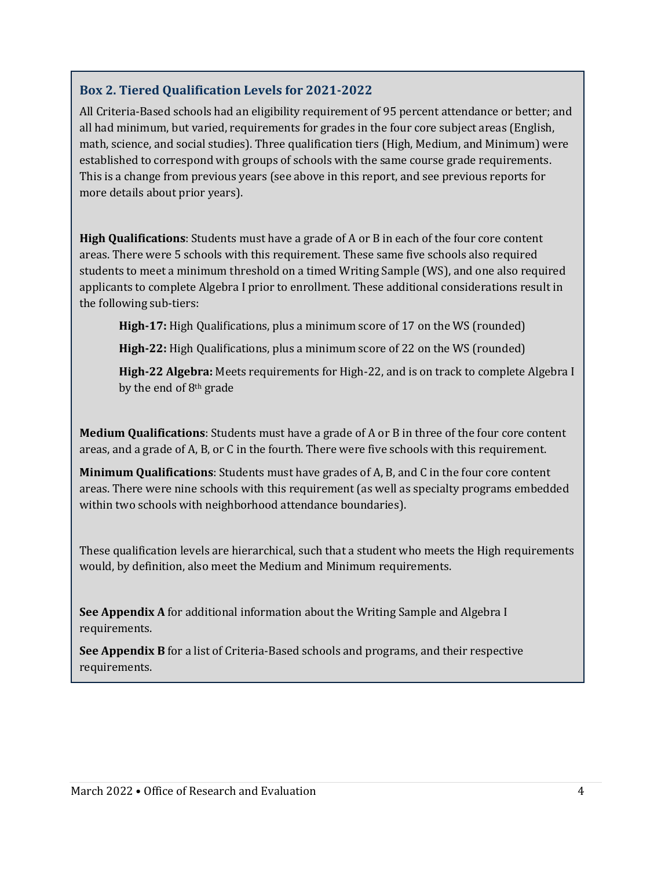#### **Box 2. Tiered Qualification Levels for 2021-2022**

All Criteria-Based schools had an eligibility requirement of 95 percent attendance or better; and all had minimum, but varied, requirements for grades in the four core subject areas (English, math, science, and social studies). Three qualification tiers (High, Medium, and Minimum) were established to correspond with groups of schools with the same course grade requirements. This is a change from previous years (see above in this report, and see previous reports for more details about prior years).

**High Qualifications**: Students must have a grade of A or B in each of the four core content areas. There were 5 schools with this requirement. These same five schools also required students to meet a minimum threshold on a timed Writing Sample (WS), and one also required applicants to complete Algebra I prior to enrollment. These additional considerations result in the following sub-tiers:

**High-17:** High Qualifications, plus a minimum score of 17 on the WS (rounded)

**High-22:** High Qualifications, plus a minimum score of 22 on the WS (rounded)

**High-22 Algebra:** Meets requirements for High-22, and is on track to complete Algebra I by the end of 8th grade

**Medium Qualifications**: Students must have a grade of A or B in three of the four core content areas, and a grade of A, B, or C in the fourth. There were five schools with this requirement.

**Minimum Qualifications**: Students must have grades of A, B, and C in the four core content areas. There were nine schools with this requirement (as well as specialty programs embedded within two schools with neighborhood attendance boundaries).

These qualification levels are hierarchical, such that a student who meets the High requirements would, by definition, also meet the Medium and Minimum requirements.

**See Appendix A** for additional information about the Writing Sample and Algebra I requirements.

**See Appendix B** for a list of Criteria-Based schools and programs, and their respective requirements.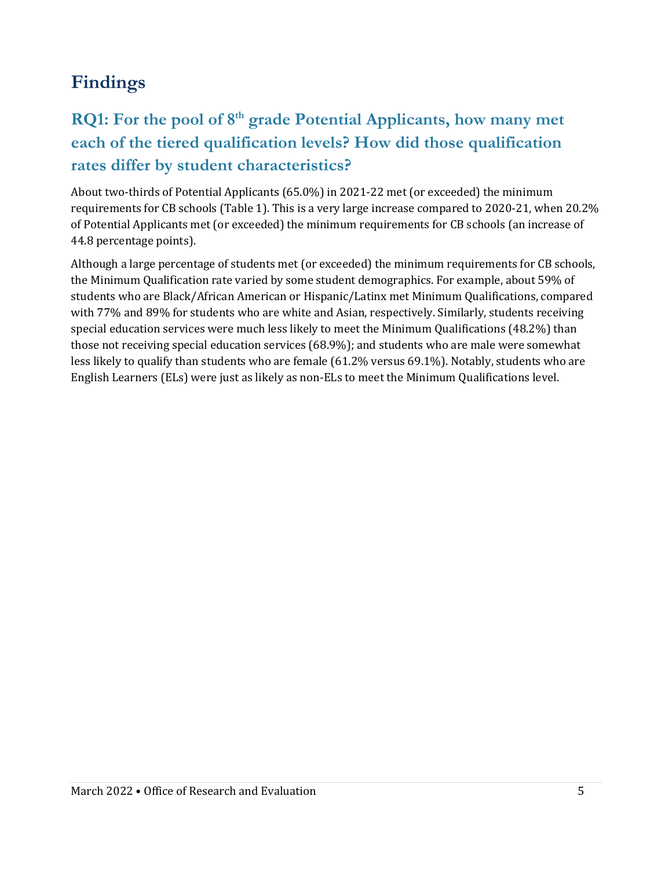## **Findings**

## **RQ1:** For the pool of 8<sup>th</sup> grade Potential Applicants, how many met **each of the tiered qualification levels? How did those qualification rates differ by student characteristics?**

About two-thirds of Potential Applicants (65.0%) in 2021-22 met (or exceeded) the minimum requirements for CB schools (Table 1). This is a very large increase compared to 2020-21, when 20.2% of Potential Applicants met (or exceeded) the minimum requirements for CB schools (an increase of 44.8 percentage points).

Although a large percentage of students met (or exceeded) the minimum requirements for CB schools, the Minimum Qualification rate varied by some student demographics. For example, about 59% of students who are Black/African American or Hispanic/Latinx met Minimum Qualifications, compared with 77% and 89% for students who are white and Asian, respectively. Similarly, students receiving special education services were much less likely to meet the Minimum Qualifications (48.2%) than those not receiving special education services (68.9%); and students who are male were somewhat less likely to qualify than students who are female (61.2% versus 69.1%). Notably, students who are English Learners (ELs) were just as likely as non-ELs to meet the Minimum Qualifications level.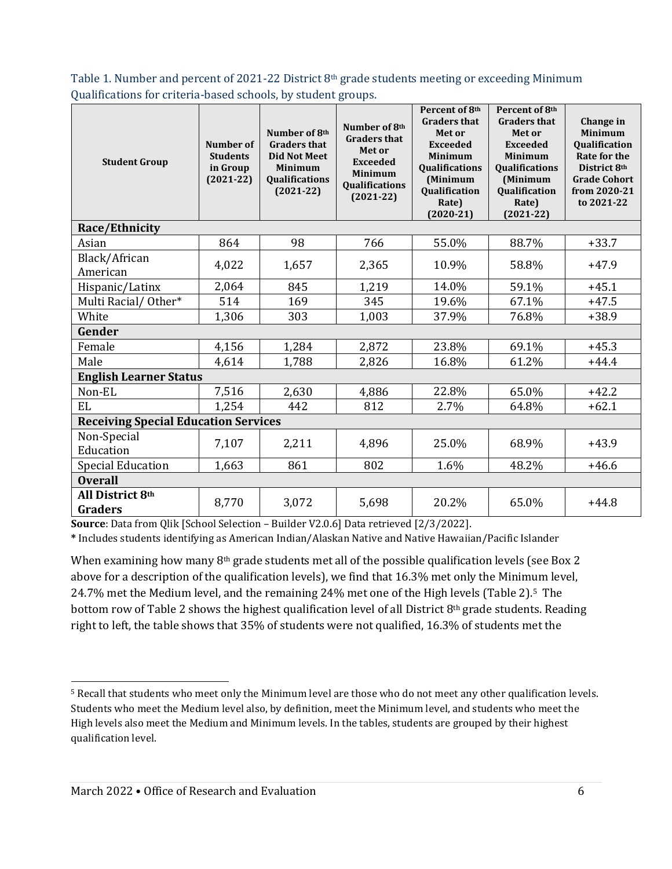Table 1. Number and percent of 2021-22 District 8<sup>th</sup> grade students meeting or exceeding Minimum Qualifications for criteria-based schools, by student groups.

| <b>Student Group</b>                        | Number of<br><b>Students</b><br>in Group<br>$(2021-22)$ | Number of 8th<br><b>Graders that</b><br><b>Did Not Meet</b><br><b>Minimum</b><br><b>Qualifications</b><br>$(2021-22)$ | Number of 8th<br><b>Graders that</b><br>Met or<br><b>Exceeded</b><br><b>Minimum</b><br>Qualifications<br>$(2021-22)$ | Percent of 8th<br><b>Graders that</b><br>Met or<br><b>Exceeded</b><br><b>Minimum</b><br>Qualifications<br>(Minimum<br>Qualification<br>Rate)<br>$(2020-21)$ | Percent of 8th<br><b>Graders that</b><br>Met or<br><b>Exceeded</b><br><b>Minimum</b><br>Qualifications<br>(Minimum<br>Qualification<br>Rate)<br>$(2021 - 22)$ | Change in<br><b>Minimum</b><br><b>Qualification</b><br><b>Rate for the</b><br>District 8th<br><b>Grade Cohort</b><br>from 2020-21<br>to 2021-22 |
|---------------------------------------------|---------------------------------------------------------|-----------------------------------------------------------------------------------------------------------------------|----------------------------------------------------------------------------------------------------------------------|-------------------------------------------------------------------------------------------------------------------------------------------------------------|---------------------------------------------------------------------------------------------------------------------------------------------------------------|-------------------------------------------------------------------------------------------------------------------------------------------------|
| Race/Ethnicity                              |                                                         |                                                                                                                       |                                                                                                                      |                                                                                                                                                             |                                                                                                                                                               |                                                                                                                                                 |
| Asian                                       | 864                                                     | 98                                                                                                                    | 766                                                                                                                  | 55.0%                                                                                                                                                       | 88.7%                                                                                                                                                         | $+33.7$                                                                                                                                         |
| Black/African<br>American                   | 4,022                                                   | 1,657                                                                                                                 | 2,365                                                                                                                | 10.9%                                                                                                                                                       | 58.8%                                                                                                                                                         | $+47.9$                                                                                                                                         |
| Hispanic/Latinx                             | 2,064                                                   | 845                                                                                                                   | 1,219                                                                                                                | 14.0%                                                                                                                                                       | 59.1%                                                                                                                                                         | $+45.1$                                                                                                                                         |
| Multi Racial/Other*                         | 514                                                     | 169                                                                                                                   | 345                                                                                                                  | 19.6%                                                                                                                                                       | 67.1%                                                                                                                                                         | $+47.5$                                                                                                                                         |
| White                                       | 1,306                                                   | 303                                                                                                                   | 1,003                                                                                                                | 37.9%                                                                                                                                                       | 76.8%                                                                                                                                                         | $+38.9$                                                                                                                                         |
| Gender                                      |                                                         |                                                                                                                       |                                                                                                                      |                                                                                                                                                             |                                                                                                                                                               |                                                                                                                                                 |
| Female                                      | 4,156                                                   | 1,284                                                                                                                 | 2,872                                                                                                                | 23.8%                                                                                                                                                       | 69.1%                                                                                                                                                         | $+45.3$                                                                                                                                         |
| Male                                        | 4,614                                                   | 1,788                                                                                                                 | 2,826                                                                                                                | 16.8%                                                                                                                                                       | 61.2%                                                                                                                                                         | $+44.4$                                                                                                                                         |
| <b>English Learner Status</b>               |                                                         |                                                                                                                       |                                                                                                                      |                                                                                                                                                             |                                                                                                                                                               |                                                                                                                                                 |
| Non-EL                                      | 7,516                                                   | 2,630                                                                                                                 | 4,886                                                                                                                | 22.8%                                                                                                                                                       | 65.0%                                                                                                                                                         | $+42.2$                                                                                                                                         |
| EL                                          | 1,254                                                   | 442                                                                                                                   | 812                                                                                                                  | 2.7%                                                                                                                                                        | 64.8%                                                                                                                                                         | $+62.1$                                                                                                                                         |
| <b>Receiving Special Education Services</b> |                                                         |                                                                                                                       |                                                                                                                      |                                                                                                                                                             |                                                                                                                                                               |                                                                                                                                                 |
| Non-Special<br>Education                    | 7,107                                                   | 2,211                                                                                                                 | 4,896                                                                                                                | 25.0%                                                                                                                                                       | 68.9%                                                                                                                                                         | $+43.9$                                                                                                                                         |
| <b>Special Education</b>                    | 1,663                                                   | 861                                                                                                                   | 802                                                                                                                  | 1.6%                                                                                                                                                        | 48.2%                                                                                                                                                         | $+46.6$                                                                                                                                         |
| <b>Overall</b>                              |                                                         |                                                                                                                       |                                                                                                                      |                                                                                                                                                             |                                                                                                                                                               |                                                                                                                                                 |
| All District 8th<br><b>Graders</b>          | 8,770                                                   | 3,072                                                                                                                 | 5,698                                                                                                                | 20.2%                                                                                                                                                       | 65.0%                                                                                                                                                         | $+44.8$                                                                                                                                         |

**Source**: Data from Qlik [School Selection – Builder V2.0.6] Data retrieved [2/3/2022].

**\*** Includes students identifying as American Indian/Alaskan Native and Native Hawaiian/Pacific Islander

When examining how many 8<sup>th</sup> grade students met all of the possible qualification levels (see Box 2 above for a description of the qualification levels), we find that 16.3% met only the Minimum level, 24.7% met the Medium level, and the remaining 24% met one of the High levels (Table 2).[5](#page-5-0) The bottom row of Table 2 shows the highest qualification level of all District 8<sup>th</sup> grade students. Reading right to left, the table shows that 35% of students were not qualified, 16.3% of students met the

<span id="page-5-0"></span> <sup>5</sup> Recall that students who meet only the Minimum level are those who do not meet any other qualification levels. Students who meet the Medium level also, by definition, meet the Minimum level, and students who meet the High levels also meet the Medium and Minimum levels. In the tables, students are grouped by their highest qualification level.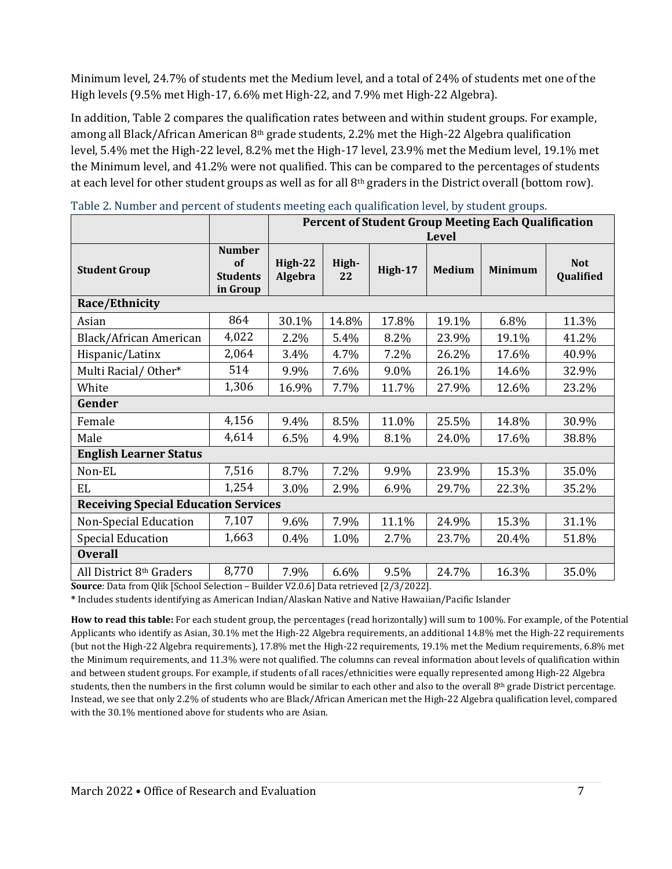Minimum level, 24.7% of students met the Medium level, and a total of 24% of students met one of the High levels (9.5% met High-17, 6.6% met High-22, and 7.9% met High-22 Algebra).

In addition, Table 2 compares the qualification rates between and within student groups. For example, among all Black/African American  $8<sup>th</sup>$  grade students, 2.2% met the High-22 Algebra qualification level, 5.4% met the High-22 level, 8.2% met the High-17 level, 23.9% met the Medium level, 19.1% met the Minimum level, and 41.2% were not qualified. This can be compared to the percentages of students at each level for other student groups as well as for all 8th graders in the District overall (bottom row).

|                                             |                                                    | <b>Percent of Student Group Meeting Each Qualification</b> |              |              |               |                |                         |  |
|---------------------------------------------|----------------------------------------------------|------------------------------------------------------------|--------------|--------------|---------------|----------------|-------------------------|--|
|                                             |                                                    |                                                            | <b>Level</b> |              |               |                |                         |  |
| <b>Student Group</b>                        | <b>Number</b><br>of<br><b>Students</b><br>in Group | High-22<br>Algebra                                         | High-<br>22  | High-17      | <b>Medium</b> | <b>Minimum</b> | <b>Not</b><br>Qualified |  |
| Race/Ethnicity                              |                                                    |                                                            |              |              |               |                |                         |  |
| Asian                                       | 864                                                | 30.1%                                                      | 14.8%        | 17.8%        | 19.1%         | 6.8%           | 11.3%                   |  |
| Black/African American                      | 4,022                                              | 2.2%                                                       | 5.4%         | 8.2%         | 23.9%         | 19.1%          | 41.2%                   |  |
| Hispanic/Latinx                             | 2,064                                              | 3.4%                                                       | 4.7%         | 7.2%         | 26.2%         | 17.6%          | 40.9%                   |  |
| Multi Racial/Other*                         | 514                                                | 9.9%                                                       | 7.6%         | 9.0%         | 26.1%         | 14.6%          | 32.9%                   |  |
| White                                       | 1,306                                              | 16.9%                                                      | 7.7%         | 11.7%        | 27.9%         | 12.6%          | 23.2%                   |  |
| Gender                                      |                                                    |                                                            |              |              |               |                |                         |  |
| Female                                      | 4,156                                              | 9.4%                                                       | 8.5%         | 11.0%        | 25.5%         | 14.8%          | 30.9%                   |  |
| Male                                        | 4,614                                              | 6.5%                                                       | 4.9%         | 8.1%         | 24.0%         | 17.6%          | 38.8%                   |  |
| <b>English Learner Status</b>               |                                                    |                                                            |              |              |               |                |                         |  |
| Non-EL                                      | 7,516                                              | 8.7%                                                       | 7.2%         | 9.9%         | 23.9%         | 15.3%          | 35.0%                   |  |
| EL                                          | 1,254                                              | 3.0%                                                       | 2.9%         | 6.9%         | 29.7%         | 22.3%          | 35.2%                   |  |
| <b>Receiving Special Education Services</b> |                                                    |                                                            |              |              |               |                |                         |  |
| <b>Non-Special Education</b>                | 7,107                                              | 9.6%                                                       | 7.9%         | 11.1%        | 24.9%         | 15.3%          | 31.1%                   |  |
| <b>Special Education</b>                    | 1,663                                              | 0.4%                                                       | 1.0%         | 2.7%         | 23.7%         | 20.4%          | 51.8%                   |  |
| <b>Overall</b>                              |                                                    |                                                            |              |              |               |                |                         |  |
| All District 8th Graders                    | 8,770                                              | 7.9%                                                       | 6.6%         | 9.5%         | 24.7%         | 16.3%          | 35.0%                   |  |
| 0.11.501.101                                |                                                    | P(11.300027)                                               |              | 150/0(00001) |               |                |                         |  |

|  |  | Table 2. Number and percent of students meeting each qualification level, by student groups. |  |
|--|--|----------------------------------------------------------------------------------------------|--|
|--|--|----------------------------------------------------------------------------------------------|--|

**Source**: Data from Qlik [School Selection – Builder V2.0.6] Data retrieved [2/3/2022].

**\*** Includes students identifying as American Indian/Alaskan Native and Native Hawaiian/Pacific Islander

**How to read this table:** For each student group, the percentages (read horizontally) will sum to 100%. For example, of the Potential Applicants who identify as Asian, 30.1% met the High-22 Algebra requirements, an additional 14.8% met the High-22 requirements (but not the High-22 Algebra requirements), 17.8% met the High-22 requirements, 19.1% met the Medium requirements, 6.8% met the Minimum requirements, and 11.3% were not qualified. The columns can reveal information about levels of qualification within and between student groups. For example, if students of all races/ethnicities were equally represented among High-22 Algebra students, then the numbers in the first column would be similar to each other and also to the overall  $8<sup>th</sup>$  grade District percentage. Instead, we see that only 2.2% of students who are Black/African American met the High-22 Algebra qualification level, compared with the 30.1% mentioned above for students who are Asian.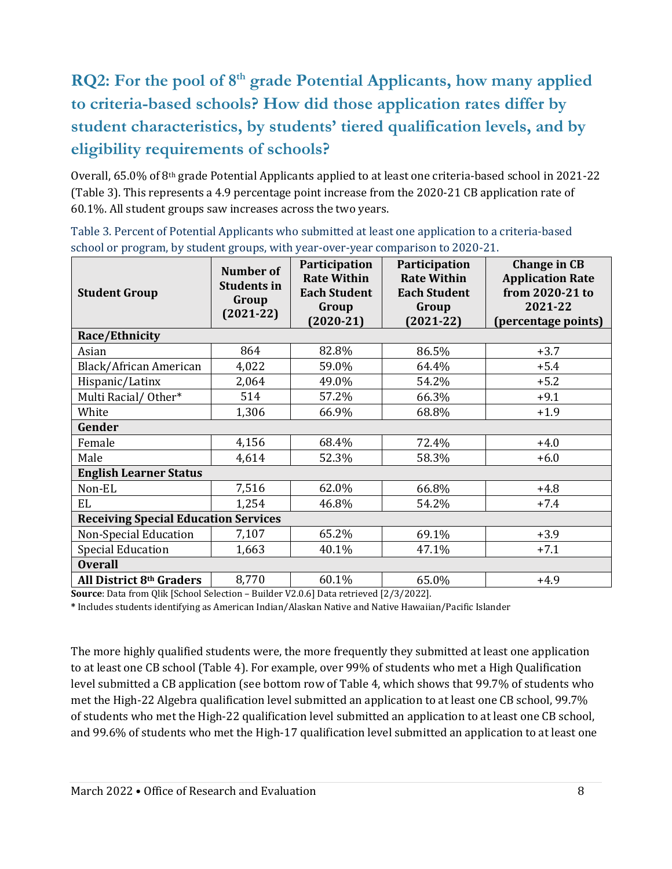## **RQ2: For the pool of 8th grade Potential Applicants, how many applied to criteria-based schools? How did those application rates differ by student characteristics, by students' tiered qualification levels, and by eligibility requirements of schools?**

Overall, 65.0% of 8<sup>th</sup> grade Potential Applicants applied to at least one criteria-based school in 2021-22 (Table 3). This represents a 4.9 percentage point increase from the 2020-21 CB application rate of 60.1%. All student groups saw increases across the two years.

| <b>Student Group</b>                        | <b>Number of</b><br><b>Students in</b><br>Group<br>$(2021-22)$ | Participation<br><b>Rate Within</b><br><b>Each Student</b><br>Group<br>$(2020-21)$ | <b>Participation</b><br><b>Rate Within</b><br><b>Each Student</b><br>Group<br>$(2021 - 22)$ | <b>Change in CB</b><br><b>Application Rate</b><br>from 2020-21 to<br>2021-22<br>(percentage points) |  |  |
|---------------------------------------------|----------------------------------------------------------------|------------------------------------------------------------------------------------|---------------------------------------------------------------------------------------------|-----------------------------------------------------------------------------------------------------|--|--|
| Race/Ethnicity                              |                                                                |                                                                                    |                                                                                             |                                                                                                     |  |  |
| Asian                                       | 864                                                            | 82.8%                                                                              | 86.5%                                                                                       | $+3.7$                                                                                              |  |  |
| Black/African American                      | 4,022                                                          | 59.0%                                                                              | 64.4%                                                                                       | $+5.4$                                                                                              |  |  |
| Hispanic/Latinx                             | 2,064                                                          | 49.0%                                                                              | 54.2%                                                                                       | $+5.2$                                                                                              |  |  |
| Multi Racial/Other*                         | 514                                                            | 57.2%                                                                              | 66.3%                                                                                       | $+9.1$                                                                                              |  |  |
| White                                       | 1,306                                                          | 66.9%                                                                              | 68.8%                                                                                       | $+1.9$                                                                                              |  |  |
| Gender                                      |                                                                |                                                                                    |                                                                                             |                                                                                                     |  |  |
| Female                                      | 4,156                                                          | 68.4%                                                                              | 72.4%                                                                                       | $+4.0$                                                                                              |  |  |
| Male                                        | 4,614                                                          | 52.3%                                                                              | 58.3%                                                                                       | $+6.0$                                                                                              |  |  |
| <b>English Learner Status</b>               |                                                                |                                                                                    |                                                                                             |                                                                                                     |  |  |
| Non-EL                                      | 7,516                                                          | 62.0%                                                                              | 66.8%                                                                                       | $+4.8$                                                                                              |  |  |
| EL.                                         | 1,254                                                          | 46.8%                                                                              | 54.2%                                                                                       | $+7.4$                                                                                              |  |  |
| <b>Receiving Special Education Services</b> |                                                                |                                                                                    |                                                                                             |                                                                                                     |  |  |
| <b>Non-Special Education</b>                | 7,107                                                          | 65.2%                                                                              | 69.1%                                                                                       | $+3.9$                                                                                              |  |  |
| <b>Special Education</b>                    | 1,663                                                          | 40.1%                                                                              | 47.1%                                                                                       | $+7.1$                                                                                              |  |  |
| <b>Overall</b>                              |                                                                |                                                                                    |                                                                                             |                                                                                                     |  |  |
| All District 8th Graders                    | 8,770                                                          | 60.1%                                                                              | 65.0%                                                                                       | $+4.9$                                                                                              |  |  |

Table 3. Percent of Potential Applicants who submitted at least one application to a criteria-based school or program, by student groups, with year-over-year comparison to 2020-21.

**Source**: Data from Qlik [School Selection – Builder V2.0.6] Data retrieved [2/3/2022].

**\*** Includes students identifying as American Indian/Alaskan Native and Native Hawaiian/Pacific Islander

The more highly qualified students were, the more frequently they submitted at least one application to at least one CB school (Table 4). For example, over 99% of students who met a High Qualification level submitted a CB application (see bottom row of Table 4, which shows that 99.7% of students who met the High-22 Algebra qualification level submitted an application to at least one CB school, 99.7% of students who met the High-22 qualification level submitted an application to at least one CB school, and 99.6% of students who met the High-17 qualification level submitted an application to at least one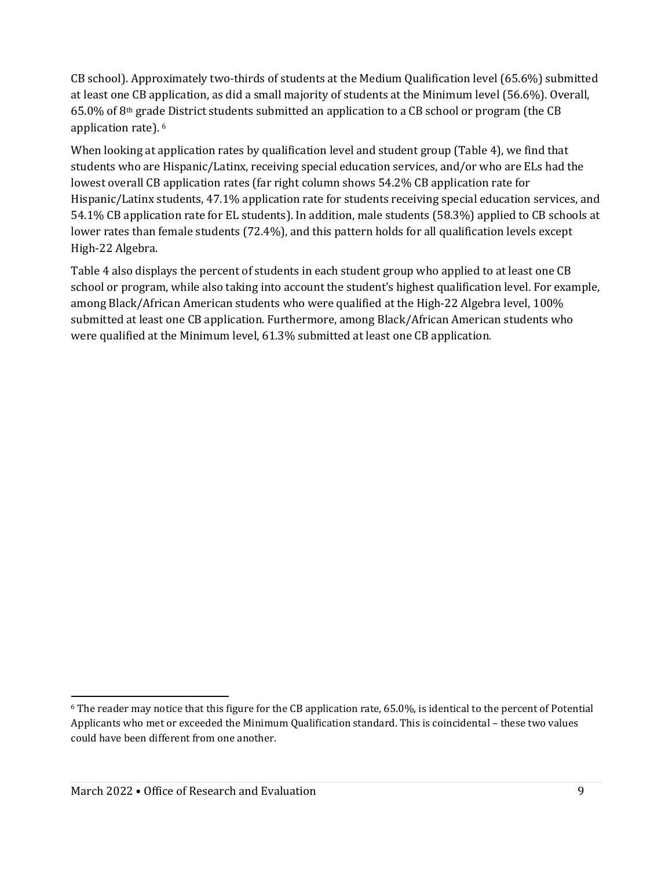CB school). Approximately two-thirds of students at the Medium Qualification level (65.6%) submitted at least one CB application, as did a small majority of students at the Minimum level (56.6%). Overall, 65.0% of 8th grade District students submitted an application to a CB school or program (the CB application rate). [6](#page-8-0)

When looking at application rates by qualification level and student group (Table 4), we find that students who are Hispanic/Latinx, receiving special education services, and/or who are ELs had the lowest overall CB application rates (far right column shows 54.2% CB application rate for Hispanic/Latinx students, 47.1% application rate for students receiving special education services, and 54.1% CB application rate for EL students). In addition, male students (58.3%) applied to CB schools at lower rates than female students (72.4%), and this pattern holds for all qualification levels except High-22 Algebra.

Table 4 also displays the percent of students in each student group who applied to at least one CB school or program, while also taking into account the student's highest qualification level. For example, among Black/African American students who were qualified at the High-22 Algebra level, 100% submitted at least one CB application. Furthermore, among Black/African American students who were qualified at the Minimum level, 61.3% submitted at least one CB application.

<span id="page-8-0"></span><sup>&</sup>lt;sup>6</sup> The reader may notice that this figure for the CB application rate, 65.0%, is identical to the percent of Potential Applicants who met or exceeded the Minimum Qualification standard. This is coincidental – these two values could have been different from one another.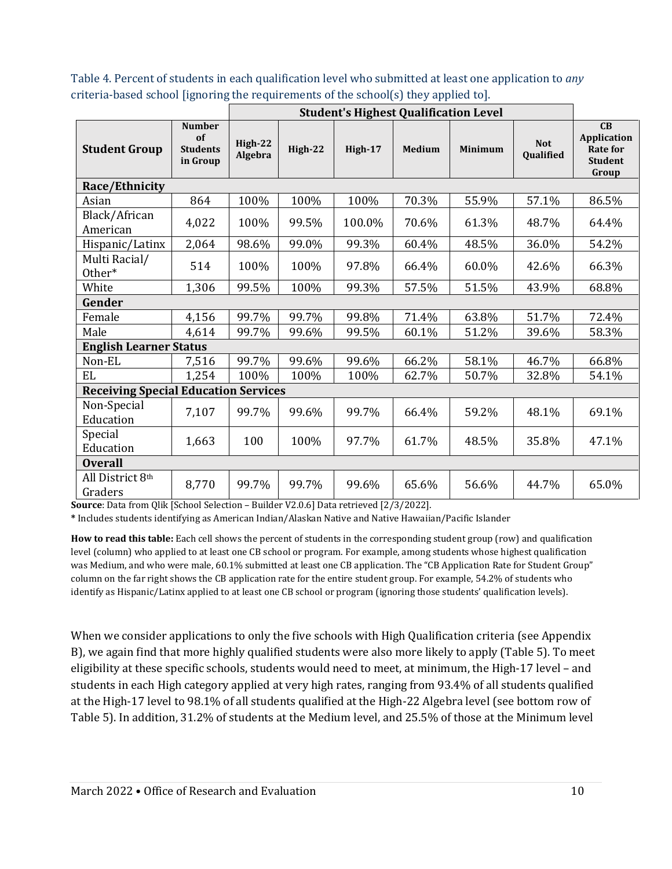Table 4. Percent of students in each qualification level who submitted at least one application to *any* criteria-based school [ignoring the requirements of the school(s) they applied to].

|                                             |                                                    | <b>Student's Highest Qualification Level</b> |         |         |               |                |                         |                                                                        |
|---------------------------------------------|----------------------------------------------------|----------------------------------------------|---------|---------|---------------|----------------|-------------------------|------------------------------------------------------------------------|
| <b>Student Group</b>                        | <b>Number</b><br>of<br><b>Students</b><br>in Group | High-22<br>Algebra                           | High-22 | High-17 | <b>Medium</b> | <b>Minimum</b> | <b>Not</b><br>Qualified | CB<br><b>Application</b><br><b>Rate for</b><br><b>Student</b><br>Group |
| Race/Ethnicity                              |                                                    |                                              |         |         |               |                |                         |                                                                        |
| Asian                                       | 864                                                | 100%                                         | 100%    | 100%    | 70.3%         | 55.9%          | 57.1%                   | 86.5%                                                                  |
| Black/African<br>American                   | 4,022                                              | 100%                                         | 99.5%   | 100.0%  | 70.6%         | 61.3%          | 48.7%                   | 64.4%                                                                  |
| Hispanic/Latinx                             | 2,064                                              | 98.6%                                        | 99.0%   | 99.3%   | 60.4%         | 48.5%          | 36.0%                   | 54.2%                                                                  |
| Multi Racial/<br>Other*                     | 514                                                | 100%                                         | 100%    | 97.8%   | 66.4%         | 60.0%          | 42.6%                   | 66.3%                                                                  |
| White                                       | 1,306                                              | 99.5%                                        | 100%    | 99.3%   | 57.5%         | 51.5%          | 43.9%                   | 68.8%                                                                  |
| Gender                                      |                                                    |                                              |         |         |               |                |                         |                                                                        |
| Female                                      | 4,156                                              | 99.7%                                        | 99.7%   | 99.8%   | 71.4%         | 63.8%          | 51.7%                   | 72.4%                                                                  |
| Male                                        | 4,614                                              | 99.7%                                        | 99.6%   | 99.5%   | 60.1%         | 51.2%          | 39.6%                   | 58.3%                                                                  |
| <b>English Learner Status</b>               |                                                    |                                              |         |         |               |                |                         |                                                                        |
| Non-EL                                      | 7,516                                              | 99.7%                                        | 99.6%   | 99.6%   | 66.2%         | 58.1%          | 46.7%                   | 66.8%                                                                  |
| EL                                          | 1,254                                              | 100%                                         | 100%    | 100%    | 62.7%         | 50.7%          | 32.8%                   | 54.1%                                                                  |
| <b>Receiving Special Education Services</b> |                                                    |                                              |         |         |               |                |                         |                                                                        |
| Non-Special<br>Education                    | 7,107                                              | 99.7%                                        | 99.6%   | 99.7%   | 66.4%         | 59.2%          | 48.1%                   | 69.1%                                                                  |
| Special<br>Education                        | 1,663                                              | 100                                          | 100%    | 97.7%   | 61.7%         | 48.5%          | 35.8%                   | 47.1%                                                                  |
| <b>Overall</b>                              |                                                    |                                              |         |         |               |                |                         |                                                                        |
| All District 8th<br>Graders                 | 8,770                                              | 99.7%                                        | 99.7%   | 99.6%   | 65.6%         | 56.6%          | 44.7%                   | 65.0%                                                                  |

**Source**: Data from Qlik [School Selection – Builder V2.0.6] Data retrieved [2/3/2022].

**\*** Includes students identifying as American Indian/Alaskan Native and Native Hawaiian/Pacific Islander

**How to read this table:** Each cell shows the percent of students in the corresponding student group (row) and qualification level (column) who applied to at least one CB school or program. For example, among students whose highest qualification was Medium, and who were male, 60.1% submitted at least one CB application. The "CB Application Rate for Student Group" column on the far right shows the CB application rate for the entire student group. For example, 54.2% of students who identify as Hispanic/Latinx applied to at least one CB school or program (ignoring those students' qualification levels).

When we consider applications to only the five schools with High Qualification criteria (see Appendix B), we again find that more highly qualified students were also more likely to apply (Table 5). To meet eligibility at these specific schools, students would need to meet, at minimum, the High-17 level – and students in each High category applied at very high rates, ranging from 93.4% of all students qualified at the High-17 level to 98.1% of all students qualified at the High-22 Algebra level (see bottom row of Table 5). In addition, 31.2% of students at the Medium level, and 25.5% of those at the Minimum level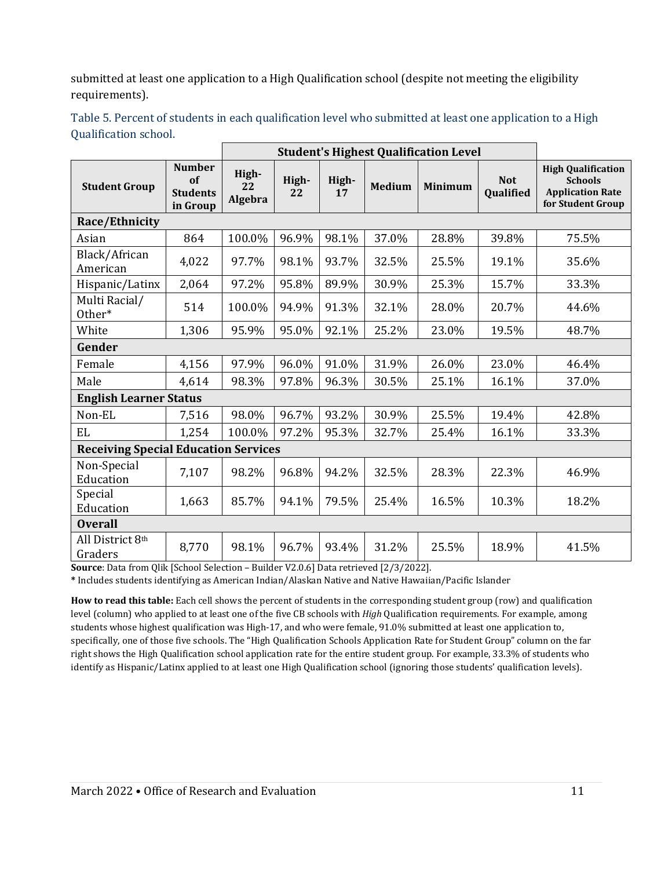submitted at least one application to a High Qualification school (despite not meeting the eligibility requirements).

|                               |                                                    | <b>Student's Highest Qualification Level</b> |             |             |               |                |                         |                                                                                             |  |
|-------------------------------|----------------------------------------------------|----------------------------------------------|-------------|-------------|---------------|----------------|-------------------------|---------------------------------------------------------------------------------------------|--|
| <b>Student Group</b>          | <b>Number</b><br>of<br><b>Students</b><br>in Group | High-<br>22<br>Algebra                       | High-<br>22 | High-<br>17 | <b>Medium</b> | <b>Minimum</b> | <b>Not</b><br>Qualified | <b>High Qualification</b><br><b>Schools</b><br><b>Application Rate</b><br>for Student Group |  |
| Race/Ethnicity                |                                                    |                                              |             |             |               |                |                         |                                                                                             |  |
| Asian                         | 864                                                | 100.0%                                       | 96.9%       | 98.1%       | 37.0%         | 28.8%          | 39.8%                   | 75.5%                                                                                       |  |
| Black/African<br>American     | 4,022                                              | 97.7%                                        | 98.1%       | 93.7%       | 32.5%         | 25.5%          | 19.1%                   | 35.6%                                                                                       |  |
| Hispanic/Latinx               | 2,064                                              | 97.2%                                        | 95.8%       | 89.9%       | 30.9%         | 25.3%          | 15.7%                   | 33.3%                                                                                       |  |
| Multi Racial/<br>Other*       | 514                                                | 100.0%                                       | 94.9%       | 91.3%       | 32.1%         | 28.0%          | 20.7%                   | 44.6%                                                                                       |  |
| White                         | 1,306                                              | 95.9%                                        | 95.0%       | 92.1%       | 25.2%         | 23.0%          | 19.5%                   | 48.7%                                                                                       |  |
| Gender                        |                                                    |                                              |             |             |               |                |                         |                                                                                             |  |
| Female                        | 4,156                                              | 97.9%                                        | 96.0%       | 91.0%       | 31.9%         | 26.0%          | 23.0%                   | 46.4%                                                                                       |  |
| Male                          | 4,614                                              | 98.3%                                        | 97.8%       | 96.3%       | 30.5%         | 25.1%          | 16.1%                   | 37.0%                                                                                       |  |
| <b>English Learner Status</b> |                                                    |                                              |             |             |               |                |                         |                                                                                             |  |
| Non-EL                        | 7,516                                              | 98.0%                                        | 96.7%       | 93.2%       | 30.9%         | 25.5%          | 19.4%                   | 42.8%                                                                                       |  |
| EL                            | 1,254                                              | 100.0%                                       | 97.2%       | 95.3%       | 32.7%         | 25.4%          | 16.1%                   | 33.3%                                                                                       |  |
|                               | <b>Receiving Special Education Services</b>        |                                              |             |             |               |                |                         |                                                                                             |  |
| Non-Special<br>Education      | 7,107                                              | 98.2%                                        | 96.8%       | 94.2%       | 32.5%         | 28.3%          | 22.3%                   | 46.9%                                                                                       |  |
| Special<br>Education          | 1,663                                              | 85.7%                                        | 94.1%       | 79.5%       | 25.4%         | 16.5%          | 10.3%                   | 18.2%                                                                                       |  |
| <b>Overall</b>                |                                                    |                                              |             |             |               |                |                         |                                                                                             |  |
| All District 8th<br>Graders   | 8,770                                              | 98.1%                                        | 96.7%       | 93.4%       | 31.2%         | 25.5%          | 18.9%                   | 41.5%                                                                                       |  |

Table 5. Percent of students in each qualification level who submitted at least one application to a High Qualification school.

**Source**: Data from Qlik [School Selection – Builder V2.0.6] Data retrieved [2/3/2022].

**\*** Includes students identifying as American Indian/Alaskan Native and Native Hawaiian/Pacific Islander

**How to read this table:** Each cell shows the percent of students in the corresponding student group (row) and qualification level (column) who applied to at least one of the five CB schools with *High* Qualification requirements. For example, among students whose highest qualification was High-17, and who were female, 91.0% submitted at least one application to, specifically, one of those five schools. The "High Qualification Schools Application Rate for Student Group" column on the far right shows the High Qualification school application rate for the entire student group. For example, 33.3% of students who identify as Hispanic/Latinx applied to at least one High Qualification school (ignoring those students' qualification levels).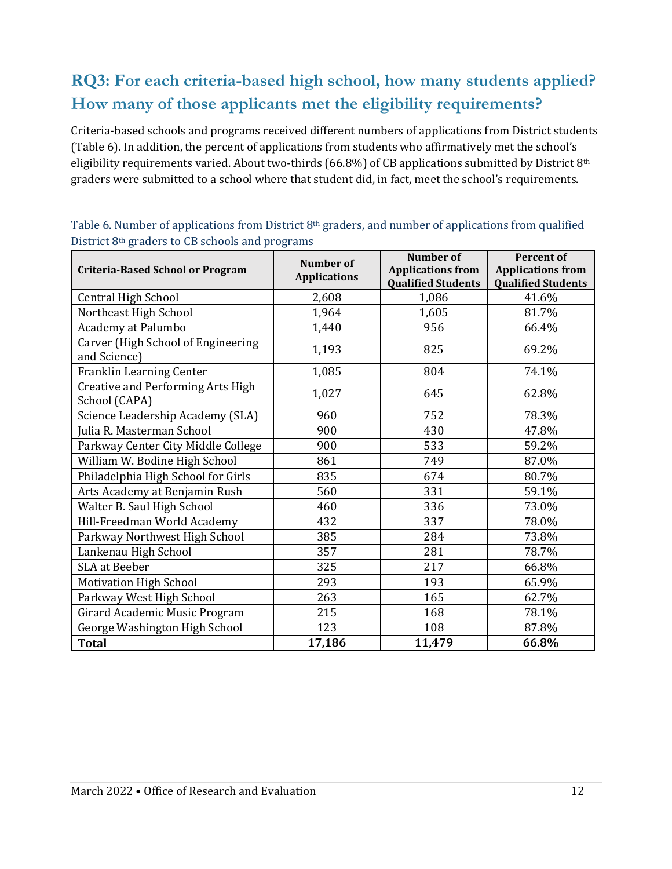## **RQ3: For each criteria-based high school, how many students applied? How many of those applicants met the eligibility requirements?**

Criteria-based schools and programs received different numbers of applications from District students (Table 6). In addition, the percent of applications from students who affirmatively met the school's eligibility requirements varied. About two-thirds (66.8%) of CB applications submitted by District 8<sup>th</sup> graders were submitted to a school where that student did, in fact, meet the school's requirements.

|                                                           | <b>Number of</b>    | <b>Number of</b>                                      | <b>Percent of</b>                                     |
|-----------------------------------------------------------|---------------------|-------------------------------------------------------|-------------------------------------------------------|
| <b>Criteria-Based School or Program</b>                   | <b>Applications</b> | <b>Applications from</b><br><b>Qualified Students</b> | <b>Applications from</b><br><b>Qualified Students</b> |
| <b>Central High School</b>                                | 2,608               | 1,086                                                 | 41.6%                                                 |
| Northeast High School                                     | 1,964               | 1,605                                                 | 81.7%                                                 |
| Academy at Palumbo                                        | 1,440               | 956                                                   | 66.4%                                                 |
| Carver (High School of Engineering<br>and Science)        | 1,193               | 825                                                   | 69.2%                                                 |
| Franklin Learning Center                                  | 1,085               | 804                                                   | 74.1%                                                 |
| <b>Creative and Performing Arts High</b><br>School (CAPA) | 1,027               | 645                                                   | 62.8%                                                 |
| Science Leadership Academy (SLA)                          | 960                 | 752                                                   | 78.3%                                                 |
| Julia R. Masterman School                                 | 900                 | 430                                                   | 47.8%                                                 |
| Parkway Center City Middle College                        | 900                 | 533                                                   | 59.2%                                                 |
| William W. Bodine High School                             | 861                 | 749                                                   | 87.0%                                                 |
| Philadelphia High School for Girls                        | 835                 | 674                                                   | 80.7%                                                 |
| Arts Academy at Benjamin Rush                             | 560                 | 331                                                   | 59.1%                                                 |
| Walter B. Saul High School                                | 460                 | 336                                                   | 73.0%                                                 |
| Hill-Freedman World Academy                               | 432                 | 337                                                   | 78.0%                                                 |
| Parkway Northwest High School                             | 385                 | 284                                                   | 73.8%                                                 |
| Lankenau High School                                      | 357                 | 281                                                   | 78.7%                                                 |
| <b>SLA</b> at Beeber                                      | 325                 | 217                                                   | 66.8%                                                 |
| <b>Motivation High School</b>                             | 293                 | 193                                                   | 65.9%                                                 |
| Parkway West High School                                  | 263                 | 165                                                   | 62.7%                                                 |
| Girard Academic Music Program                             | 215                 | 168                                                   | 78.1%                                                 |
| George Washington High School                             | 123                 | 108                                                   | 87.8%                                                 |
| <b>Total</b>                                              | 17,186              | 11,479                                                | 66.8%                                                 |

Table 6. Number of applications from District 8<sup>th</sup> graders, and number of applications from qualified District 8th graders to CB schools and programs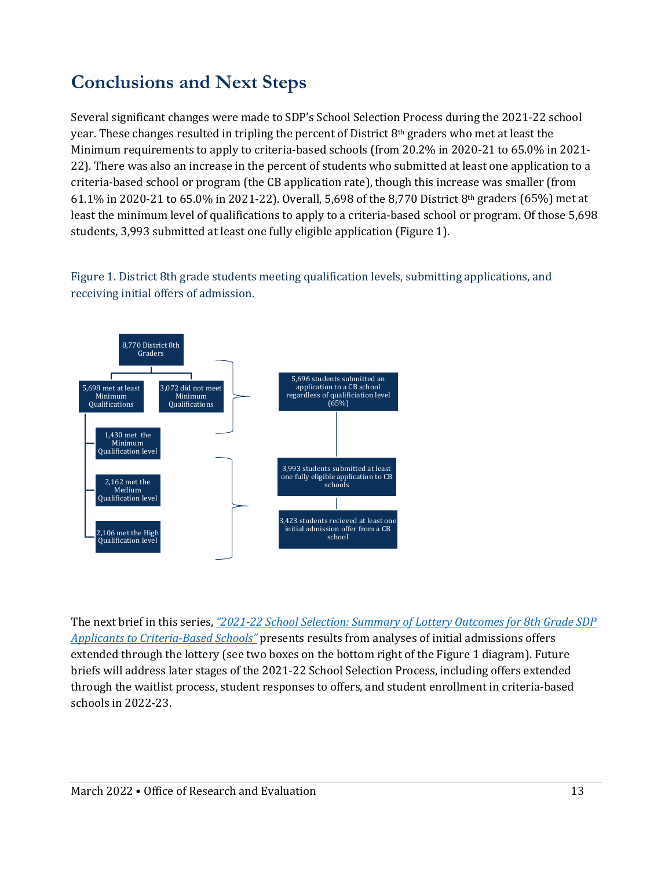## **Conclusions and Next Steps**

Several significant changes were made to SDP's School Selection Process during the 2021-22 school year. These changes resulted in tripling the percent of District 8th graders who met at least the Minimum requirements to apply to criteria-based schools (from 20.2% in 2020-21 to 65.0% in 2021- 22). There was also an increase in the percent of students who submitted at least one application to a criteria-based school or program (the CB application rate), though this increase was smaller (from 61.1% in 2020-21 to 65.0% in 2021-22). Overall, 5,698 of the 8,770 District 8th graders (65%) met at least the minimum level of qualifications to apply to a criteria-based school or program. Of those 5,698 students, 3,993 submitted at least one fully eligible application (Figure 1).

Figure 1. District 8th grade students meeting qualification levels, submitting applications, and receiving initial offers of admission.



The next brief in this series, *["2021-22 School Selection: Summary of Lottery Outcomes for 8th Grade SDP](https://www.philasd.org/research/wp-content/uploads/sites/90/2022/03/School-Selection-Lottery-Outcomes-2021-22-Research-Brief-March-2022.pdf)  [Applicants to Criteria-Based](https://www.philasd.org/research/wp-content/uploads/sites/90/2022/03/School-Selection-Lottery-Outcomes-2021-22-Research-Brief-March-2022.pdf) Schools"* presents results from analyses of initial admissions offers extended through the lottery (see two boxes on the bottom right of the Figure 1 diagram). Future briefs will address later stages of the 2021-22 School Selection Process, including offers extended through the waitlist process, student responses to offers, and student enrollment in criteria-based schools in 2022-23.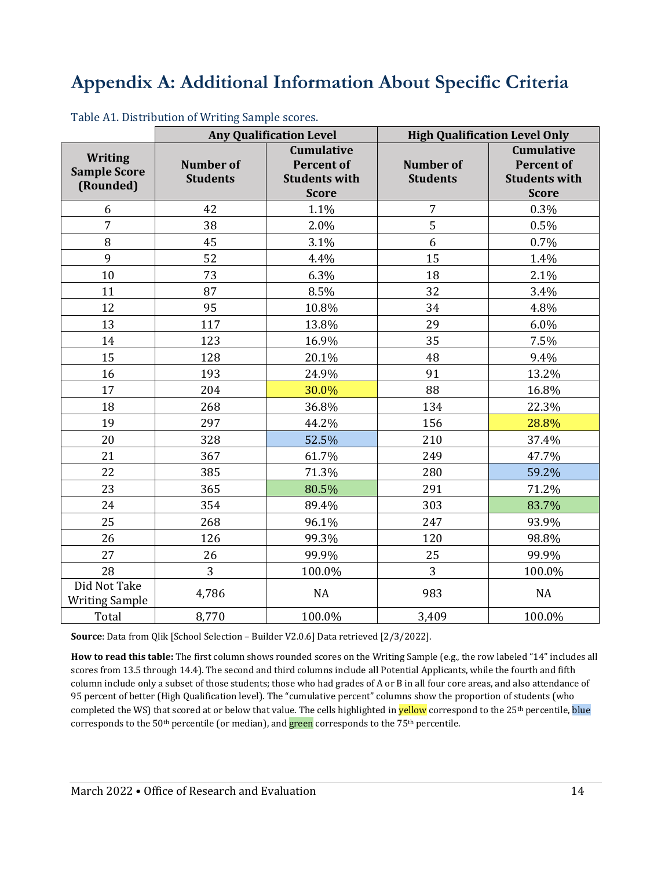## **Appendix A: Additional Information About Specific Criteria**

|                                                    | <b>Any Qualification Level</b>      |                                                                                | <b>High Qualification Level Only</b> |                                                                                |  |
|----------------------------------------------------|-------------------------------------|--------------------------------------------------------------------------------|--------------------------------------|--------------------------------------------------------------------------------|--|
| <b>Writing</b><br><b>Sample Score</b><br>(Rounded) | <b>Number of</b><br><b>Students</b> | <b>Cumulative</b><br><b>Percent of</b><br><b>Students with</b><br><b>Score</b> | <b>Number of</b><br><b>Students</b>  | <b>Cumulative</b><br><b>Percent of</b><br><b>Students with</b><br><b>Score</b> |  |
| 6                                                  | 42                                  | 1.1%                                                                           | $\overline{7}$                       | 0.3%                                                                           |  |
| $\overline{7}$                                     | 38                                  | 2.0%                                                                           | 5                                    | 0.5%                                                                           |  |
| 8                                                  | 45                                  | 3.1%                                                                           | 6                                    | 0.7%                                                                           |  |
| 9                                                  | 52                                  | 4.4%                                                                           | 15                                   | 1.4%                                                                           |  |
| 10                                                 | 73                                  | 6.3%                                                                           | 18                                   | 2.1%                                                                           |  |
| 11                                                 | 87                                  | 8.5%                                                                           | 32                                   | 3.4%                                                                           |  |
| 12                                                 | 95                                  | 10.8%                                                                          | 34                                   | 4.8%                                                                           |  |
| 13                                                 | 117                                 | 13.8%                                                                          | 29                                   | 6.0%                                                                           |  |
| 14                                                 | 123                                 | 16.9%                                                                          | 35                                   | 7.5%                                                                           |  |
| 15                                                 | 128                                 | 20.1%                                                                          | 48                                   | 9.4%                                                                           |  |
| 16                                                 | 193                                 | 24.9%                                                                          | 91                                   | 13.2%                                                                          |  |
| 17                                                 | 204                                 | 30.0%                                                                          | 88                                   | 16.8%                                                                          |  |
| 18                                                 | 268                                 | 36.8%                                                                          | 134                                  | 22.3%                                                                          |  |
| 19                                                 | 297                                 | 44.2%                                                                          | 156                                  | 28.8%                                                                          |  |
| 20                                                 | 328                                 | 52.5%                                                                          | 210                                  | 37.4%                                                                          |  |
| 21                                                 | 367                                 | 61.7%                                                                          | 249                                  | 47.7%                                                                          |  |
| 22                                                 | 385                                 | 71.3%                                                                          | 280                                  | 59.2%                                                                          |  |
| 23                                                 | 365                                 | 80.5%                                                                          | 291                                  | 71.2%                                                                          |  |
| 24                                                 | 354                                 | 89.4%                                                                          | 303                                  | 83.7%                                                                          |  |
| 25                                                 | 268                                 | 96.1%                                                                          | 247                                  | 93.9%                                                                          |  |
| 26                                                 | 126                                 | 99.3%                                                                          | 120                                  | 98.8%                                                                          |  |
| 27                                                 | 26                                  | 99.9%                                                                          | 25                                   | 99.9%                                                                          |  |
| 28                                                 | 3                                   | 100.0%                                                                         | 3                                    | 100.0%                                                                         |  |
| Did Not Take<br><b>Writing Sample</b>              | 4,786                               | <b>NA</b>                                                                      | 983                                  | <b>NA</b>                                                                      |  |
| Total                                              | 8,770                               | 100.0%                                                                         | 3,409                                | 100.0%                                                                         |  |

Table A1. Distribution of Writing Sample scores.

**Source**: Data from Qlik [School Selection – Builder V2.0.6] Data retrieved [2/3/2022].

**How to read this table:** The first column shows rounded scores on the Writing Sample (e.g., the row labeled "14" includes all scores from 13.5 through 14.4). The second and third columns include all Potential Applicants, while the fourth and fifth column include only a subset of those students; those who had grades of A or B in all four core areas, and also attendance of 95 percent of better (High Qualification level). The "cumulative percent" columns show the proportion of students (who completed the WS) that scored at or below that value. The cells highlighted in **yellow** correspond to the 25<sup>th</sup> percentile, blue corresponds to the 50<sup>th</sup> percentile (or median), and **green** corresponds to the 75<sup>th</sup> percentile.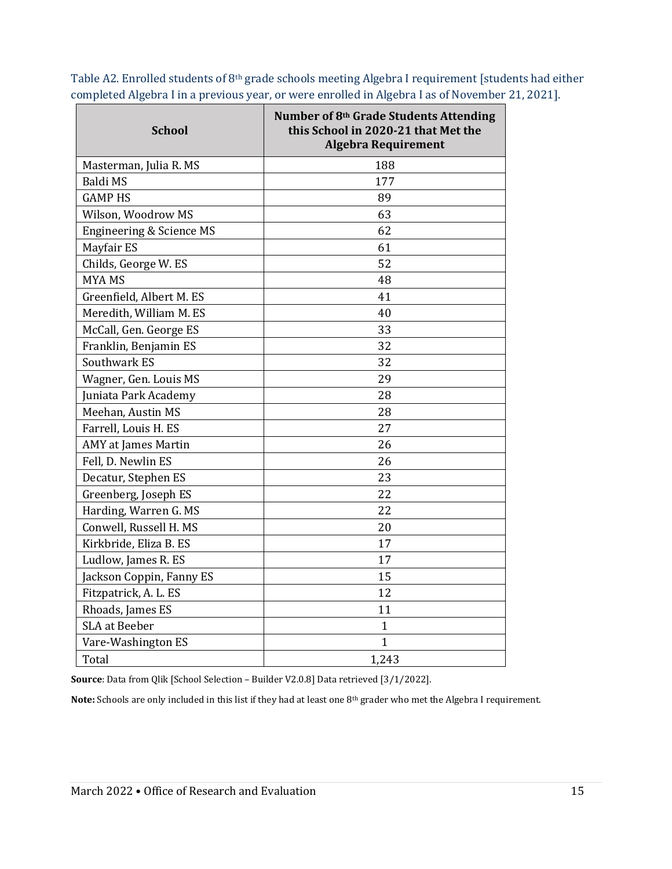| <b>School</b>              | Number of 8 <sup>th</sup> Grade Students Attending<br>this School in 2020-21 that Met the<br><b>Algebra Requirement</b> |
|----------------------------|-------------------------------------------------------------------------------------------------------------------------|
| Masterman, Julia R. MS     | 188                                                                                                                     |
| Baldi MS                   | 177                                                                                                                     |
| <b>GAMP HS</b>             | 89                                                                                                                      |
| Wilson, Woodrow MS         | 63                                                                                                                      |
| Engineering & Science MS   | 62                                                                                                                      |
| Mayfair ES                 | 61                                                                                                                      |
| Childs, George W. ES       | 52                                                                                                                      |
| <b>MYAMS</b>               | 48                                                                                                                      |
| Greenfield, Albert M. ES   | 41                                                                                                                      |
| Meredith, William M. ES    | 40                                                                                                                      |
| McCall, Gen. George ES     | 33                                                                                                                      |
| Franklin, Benjamin ES      | 32                                                                                                                      |
| Southwark ES               | 32                                                                                                                      |
| Wagner, Gen. Louis MS      | 29                                                                                                                      |
| Juniata Park Academy       | 28                                                                                                                      |
| Meehan, Austin MS          | 28                                                                                                                      |
| Farrell, Louis H. ES       | 27                                                                                                                      |
| <b>AMY</b> at James Martin | 26                                                                                                                      |
| Fell, D. Newlin ES         | 26                                                                                                                      |
| Decatur, Stephen ES        | 23                                                                                                                      |
| Greenberg, Joseph ES       | 22                                                                                                                      |
| Harding, Warren G. MS      | 22                                                                                                                      |
| Conwell, Russell H. MS     | 20                                                                                                                      |
| Kirkbride, Eliza B. ES     | 17                                                                                                                      |
| Ludlow, James R. ES        | 17                                                                                                                      |
| Jackson Coppin, Fanny ES   | 15                                                                                                                      |
| Fitzpatrick, A. L. ES      | 12                                                                                                                      |
| Rhoads, James ES           | 11                                                                                                                      |
| <b>SLA</b> at Beeber       | 1                                                                                                                       |
| Vare-Washington ES         | 1                                                                                                                       |
| Total                      | 1,243                                                                                                                   |

Table A2. Enrolled students of 8th grade schools meeting Algebra I requirement [students had either completed Algebra I in a previous year, or were enrolled in Algebra I as of November 21, 2021].

**Source**: Data from Qlik [School Selection – Builder V2.0.8] Data retrieved [3/1/2022].

**Note:** Schools are only included in this list if they had at least one 8th grader who met the Algebra I requirement.